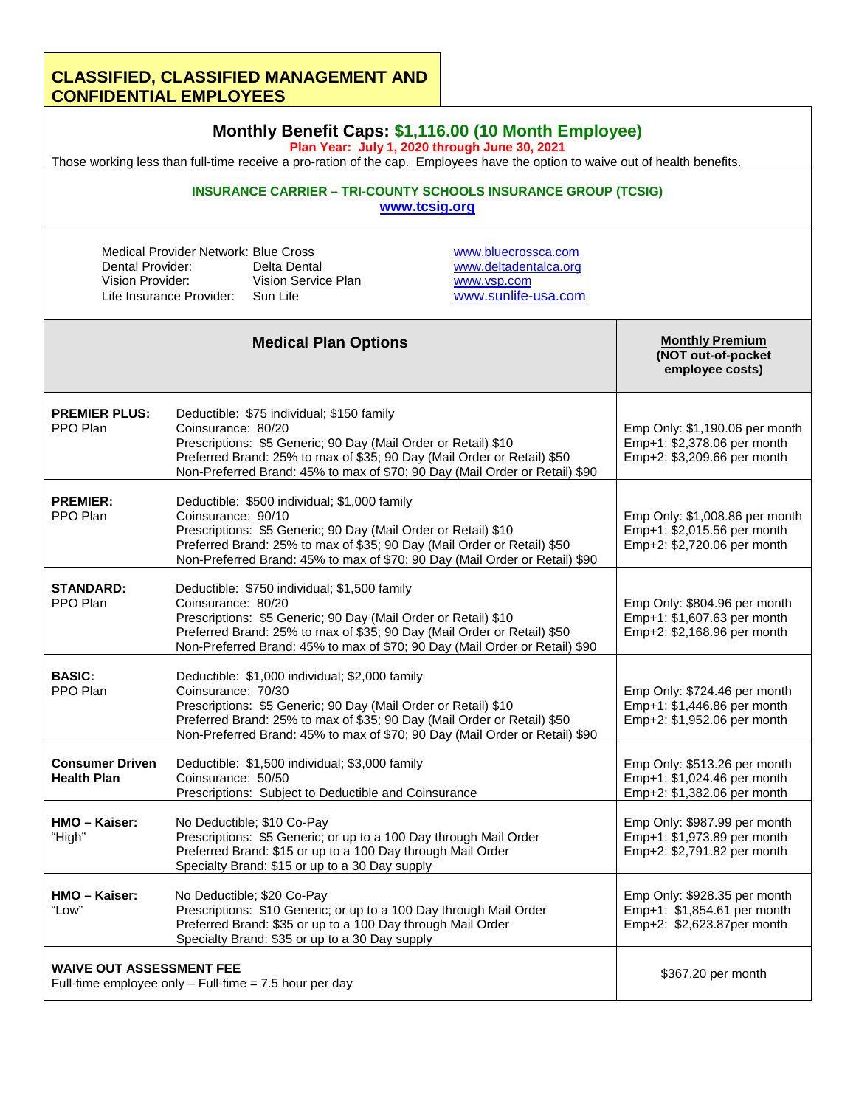## **CLASSIFIED, CLASSIFIED MANAGEMENT AND CONFIDENTIAL EMPLOYEES**

| Monthly Benefit Caps: \$1,116.00 (10 Month Employee)<br>Plan Year: July 1, 2020 through June 30, 2021<br>Those working less than full-time receive a pro-ration of the cap. Employees have the option to waive out of health benefits. |                                                                                                                                                                                                                                                                                                  |                                                                                                                                                                                                                   |                                                                                            |                                                                                              |  |
|----------------------------------------------------------------------------------------------------------------------------------------------------------------------------------------------------------------------------------------|--------------------------------------------------------------------------------------------------------------------------------------------------------------------------------------------------------------------------------------------------------------------------------------------------|-------------------------------------------------------------------------------------------------------------------------------------------------------------------------------------------------------------------|--------------------------------------------------------------------------------------------|----------------------------------------------------------------------------------------------|--|
| <b>INSURANCE CARRIER - TRI-COUNTY SCHOOLS INSURANCE GROUP (TCSIG)</b><br>www.tcsig.org                                                                                                                                                 |                                                                                                                                                                                                                                                                                                  |                                                                                                                                                                                                                   |                                                                                            |                                                                                              |  |
| Medical Provider Network: Blue Cross<br>Dental Provider:<br>Vision Provider:<br>Life Insurance Provider:                                                                                                                               |                                                                                                                                                                                                                                                                                                  | Delta Dental<br>Vision Service Plan<br>Sun Life                                                                                                                                                                   | www.bluecrossca.com<br>www.deltadentalca.org<br>www.vsp.com<br>www.sunlife-usa.com         |                                                                                              |  |
|                                                                                                                                                                                                                                        |                                                                                                                                                                                                                                                                                                  | <b>Medical Plan Options</b>                                                                                                                                                                                       |                                                                                            | <b>Monthly Premium</b><br>(NOT out-of-pocket<br>employee costs)                              |  |
| <b>PREMIER PLUS:</b><br>PPO Plan                                                                                                                                                                                                       | Coinsurance: 80/20                                                                                                                                                                                                                                                                               | Deductible: \$75 individual; \$150 family<br>Prescriptions: \$5 Generic; 90 Day (Mail Order or Retail) \$10<br>Preferred Brand: 25% to max of \$35; 90 Day (Mail Order or Retail) \$50                            | Non-Preferred Brand: 45% to max of \$70; 90 Day (Mail Order or Retail) \$90                | Emp Only: \$1,190.06 per month<br>Emp+1: \$2,378.06 per month<br>Emp+2: \$3,209.66 per month |  |
| <b>PREMIER:</b><br>PPO Plan                                                                                                                                                                                                            | Deductible: \$500 individual; \$1,000 family<br>Coinsurance: 90/10<br>Prescriptions: \$5 Generic; 90 Day (Mail Order or Retail) \$10<br>Preferred Brand: 25% to max of \$35; 90 Day (Mail Order or Retail) \$50<br>Non-Preferred Brand: 45% to max of \$70; 90 Day (Mail Order or Retail) \$90   |                                                                                                                                                                                                                   |                                                                                            | Emp Only: \$1,008.86 per month<br>Emp+1: \$2,015.56 per month<br>Emp+2: \$2,720.06 per month |  |
| <b>STANDARD:</b><br>PPO Plan                                                                                                                                                                                                           | Deductible: \$750 individual; \$1,500 family<br>Coinsurance: 80/20<br>Prescriptions: \$5 Generic; 90 Day (Mail Order or Retail) \$10<br>Preferred Brand: 25% to max of \$35; 90 Day (Mail Order or Retail) \$50<br>Non-Preferred Brand: 45% to max of \$70; 90 Day (Mail Order or Retail) \$90   |                                                                                                                                                                                                                   | Emp Only: \$804.96 per month<br>Emp+1: \$1,607.63 per month<br>Emp+2: \$2,168.96 per month |                                                                                              |  |
| <b>BASIC:</b><br>PPO Plan                                                                                                                                                                                                              | Deductible: \$1,000 individual; \$2,000 family<br>Coinsurance: 70/30<br>Prescriptions: \$5 Generic; 90 Day (Mail Order or Retail) \$10<br>Preferred Brand: 25% to max of \$35; 90 Day (Mail Order or Retail) \$50<br>Non-Preferred Brand: 45% to max of \$70; 90 Day (Mail Order or Retail) \$90 |                                                                                                                                                                                                                   | Emp Only: \$724.46 per month<br>Emp+1: \$1,446.86 per month<br>Emp+2: \$1,952.06 per month |                                                                                              |  |
| <b>Consumer Driven</b><br><b>Health Plan</b>                                                                                                                                                                                           | Coinsurance: 50/50                                                                                                                                                                                                                                                                               | Deductible: \$1,500 individual; \$3,000 family<br>Prescriptions: Subject to Deductible and Coinsurance                                                                                                            |                                                                                            | Emp Only: \$513.26 per month<br>Emp+1: \$1,024.46 per month<br>Emp+2: \$1,382.06 per month   |  |
| HMO - Kaiser:<br>"High"                                                                                                                                                                                                                | No Deductible; \$10 Co-Pay<br>Prescriptions: \$5 Generic; or up to a 100 Day through Mail Order<br>Preferred Brand: \$15 or up to a 100 Day through Mail Order<br>Specialty Brand: \$15 or up to a 30 Day supply                                                                                 |                                                                                                                                                                                                                   |                                                                                            | Emp Only: \$987.99 per month<br>Emp+1: \$1,973.89 per month<br>Emp+2: \$2,791.82 per month   |  |
| HMO - Kaiser:<br>"Low"                                                                                                                                                                                                                 |                                                                                                                                                                                                                                                                                                  | No Deductible; \$20 Co-Pay<br>Prescriptions: \$10 Generic; or up to a 100 Day through Mail Order<br>Preferred Brand: \$35 or up to a 100 Day through Mail Order<br>Specialty Brand: \$35 or up to a 30 Day supply |                                                                                            | Emp Only: \$928.35 per month<br>Emp+1: \$1,854.61 per month<br>Emp+2: \$2,623.87per month    |  |
| <b>WAIVE OUT ASSESSMENT FEE</b><br>Full-time employee only $-$ Full-time = 7.5 hour per day                                                                                                                                            |                                                                                                                                                                                                                                                                                                  |                                                                                                                                                                                                                   | \$367.20 per month                                                                         |                                                                                              |  |